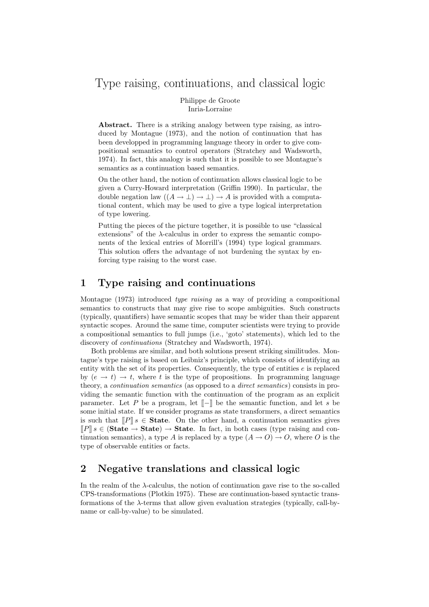# Type raising, continuations, and classical logic

Philippe de Groote Inria-Lorraine

Abstract. There is a striking analogy between type raising, as introduced by Montague (1973), and the notion of continuation that has been developped in programming language theory in order to give compositional semantics to control operators (Stratchey and Wadsworth, 1974). In fact, this analogy is such that it is possible to see Montague's semantics as a continuation based semantics.

On the other hand, the notion of continuation allows classical logic to be given a Curry-Howard interpretation (Griffin 1990). In particular, the double negation law  $((A \to \bot) \to \bot) \to A$  is provided with a computational content, which may be used to give a type logical interpretation of type lowering.

Putting the pieces of the picture together, it is possible to use "classical extensions" of the  $\lambda$ -calculus in order to express the semantic components of the lexical entries of Morrill's (1994) type logical grammars. This solution offers the advantage of not burdening the syntax by enforcing type raising to the worst case.

#### 1 Type raising and continuations

Montague (1973) introduced type raising as a way of providing a compositional semantics to constructs that may give rise to scope ambiguities. Such constructs (typically, quantifiers) have semantic scopes that may be wider than their apparent syntactic scopes. Around the same time, computer scientists were trying to provide a compositional semantics to full jumps (i.e., 'goto' statements), which led to the discovery of continuations (Stratchey and Wadsworth, 1974).

Both problems are similar, and both solutions present striking similitudes. Montague's type raising is based on Leibniz's principle, which consists of identifying an entity with the set of its properties. Consequently, the type of entities  $e$  is replaced by  $(e \rightarrow t) \rightarrow t$ , where t is the type of propositions. In programming language theory, a continuation semantics (as opposed to a direct semantics) consists in providing the semantic function with the continuation of the program as an explicit parameter. Let P be a program, let  $\llbracket - \rrbracket$  be the semantic function, and let s be some initial state. If we consider programs as state transformers, a direct semantics is such that  $[ **State.** On the other hand, a continuation semantics gives$  $\llbracket P \rrbracket s \in (\textbf{State} \to \textbf{State}) \to \textbf{State}.$  In fact, in both cases (type raising and continuation semantics), a type A is replaced by a type  $(A \to O) \to O$ , where O is the type of observable entities or facts.

## 2 Negative translations and classical logic

In the realm of the  $\lambda$ -calculus, the notion of continuation gave rise to the so-called CPS-transformations (Plotkin 1975). These are continuation-based syntactic transformations of the λ-terms that allow given evaluation strategies (typically, call-byname or call-by-value) to be simulated.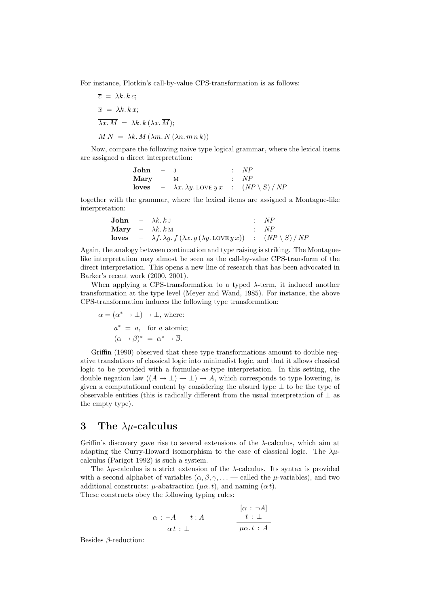For instance, Plotkin's call-by-value CPS-transformation is as follows:

$$
\overline{c} = \lambda k. k c;
$$
  
\n
$$
\overline{x} = \lambda k. k x;
$$
  
\n
$$
\overline{\lambda x. M} = \lambda k. k (\lambda x. \overline{M});
$$
  
\n
$$
\overline{M N} = \lambda k. \overline{M} (\lambda m. \overline{N} (\lambda n. m n k))
$$

Now, compare the following naive type logical grammar, where the lexical items are assigned a direct interpretation:

| John  | - | J                                       | : NP                      |
|-------|---|-----------------------------------------|---------------------------|
| Mary  | - | M                                       | : NP                      |
| loves | - | $\lambda x. \lambda y. \text{LOVE} y x$ | : $(NP \setminus S) / NP$ |

together with the grammar, where the lexical items are assigned a Montague-like interpretation:

| John  | - | $\lambda k \cdot k$ J                                                                     | : | $NP$                    |
|-------|---|-------------------------------------------------------------------------------------------|---|-------------------------|
| Mary  | - | $\lambda k \cdot k$ M                                                                     | : | $NP$                    |
| loves | - | $\lambda f \cdot \lambda g \cdot f (\lambda x \cdot g (\lambda y \cdot \text{LOVE} y x))$ | : | $(NP \setminus S) / NP$ |

Again, the analogy between continuation and type raising is striking. The Montaguelike interpretation may almost be seen as the call-by-value CPS-transform of the direct interpretation. This opens a new line of research that has been advocated in Barker's recent work (2000, 2001).

When applying a CPS-transformation to a typed  $\lambda$ -term, it induced another transformation at the type level (Meyer and Wand, 1985). For instance, the above CPS-transformation induces the following type transformation:

$$
\overline{\alpha} = (\alpha^* \to \bot) \to \bot, \text{ where:}
$$
  

$$
a^* = a, \text{ for } a \text{ atomic;}
$$
  

$$
(\alpha \to \beta)^* = \alpha^* \to \overline{\beta}.
$$

Griffin (1990) observed that these type transformations amount to double negative translations of classical logic into minimalist logic, and that it allows classical logic to be provided with a formulae-as-type interpretation. In this setting, the double negation law  $((A \to \bot) \to \bot) \to A$ , which corresponds to type lowering, is given a computational content by considering the absurd type ⊥ to be the type of observable entities (this is radically different from the usual interpretation of  $\perp$  as the empty type).

### 3 The  $\lambda \mu$ -calculus

Griffin's discovery gave rise to several extensions of the  $\lambda$ -calculus, which aim at adapting the Curry-Howard isomorphism to the case of classical logic. The  $\lambda \mu$ calculus (Parigot 1992) is such a system.

The  $\lambda \mu$ -calculus is a strict extension of the  $\lambda$ -calculus. Its syntax is provided with a second alphabet of variables  $(\alpha, \beta, \gamma, \ldots$  called the  $\mu$ -variables), and two additional constructs:  $\mu$ -abatraction ( $\mu \alpha$ , t), and naming ( $\alpha t$ ). These constructs obey the following typing rules:

$$
\begin{array}{c|c}\n\alpha : \neg A & t : A \\
\hline\n\alpha t : \bot & \n\end{array}\n\qquad\n\begin{array}{c}\n[\alpha : \neg A] \\
\hline\nt : \bot \\
\hline\n\mu\alpha. t : A\n\end{array}
$$

Besides  $\beta$ -reduction: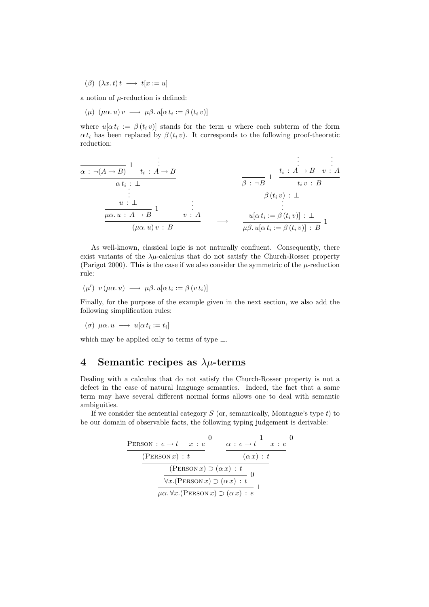( $\beta$ )  $(\lambda x. t) t \longrightarrow t[x := u]$ 

a notion of  $\mu$ -reduction is defined:

 $(\mu)$   $(\mu \alpha, u) v \longrightarrow \mu \beta, u[\alpha t_i := \beta (t_i v)]$ 

where  $u[\alpha t_i := \beta(t_i v)]$  stands for the term u where each subterm of the form  $\alpha t_i$  has been replaced by  $\beta(t_i v)$ . It corresponds to the following proof-theoretic reduction:

$$
\frac{\alpha : \neg(A \to B) \quad 1 \quad t_i : A \to B}{\alpha t_i : \bot} \qquad \qquad \frac{\vdots \qquad \vdots \qquad \vdots \qquad \vdots \qquad \vdots \qquad \vdots \qquad \vdots \qquad \vdots \qquad \vdots \qquad \vdots \qquad \vdots \qquad \vdots \qquad \vdots \qquad \vdots \qquad \vdots \qquad \vdots \qquad \vdots \qquad \vdots \qquad \vdots \qquad \vdots \qquad \vdots \qquad \vdots \qquad \vdots \qquad \vdots \qquad \vdots \qquad \vdots \qquad \vdots \qquad \vdots \qquad \vdots \qquad \vdots \qquad \vdots \qquad \vdots \qquad \vdots \qquad \vdots \qquad \vdots \qquad \vdots \qquad \vdots \qquad \vdots \qquad \vdots \qquad \vdots \qquad \vdots \qquad \vdots \qquad \vdots \qquad \vdots \qquad \vdots \qquad \vdots \qquad \vdots \qquad \vdots \qquad \vdots \qquad \vdots \qquad \vdots \qquad \vdots \qquad \vdots \qquad \vdots \qquad \vdots \qquad \vdots \qquad \vdots \qquad \vdots \qquad \vdots \qquad \vdots \qquad \vdots \qquad \vdots \qquad \vdots \qquad \vdots \qquad \vdots \qquad \vdots \qquad \vdots \qquad \vdots \qquad \vdots \qquad \vdots \qquad \vdots \qquad \vdots \qquad \vdots \qquad \vdots \qquad \vdots \qquad \vdots \qquad \vdots \qquad \vdots \qquad \vdots \qquad \vdots \qquad \vdots \qquad \vdots \qquad \vdots \qquad \vdots \qquad \vdots \qquad \vdots \qquad \vdots \qquad \vdots \qquad \vdots \qquad \vdots \qquad \vdots \qquad \vdots \qquad \vdots \qquad \vdots \qquad \vdots \qquad \vdots \qquad \vdots \qquad \vdots \qquad \vdots \qquad \vdots \qquad \vdots \qquad \vdots \qquad \vdots \qquad \vdots \qquad \vdots \qquad \vdots \qquad \vdots \qquad \vdots \qquad \vdots \qquad \vdots \qquad \vdots \qquad \vdots \qquad \vdots \qquad \vdots \qquad \vdots \qquad \vdots \qquad \vdots \qquad \vdots \qquad \vdots \qquad \vdots \
$$

As well-known, classical logic is not naturally confluent. Consequently, there exist variants of the  $\lambda \mu$ -calculus that do not satisfy the Church-Rosser property (Parigot 2000). This is the case if we also consider the symmetric of the  $\mu$ -reduction rule:

$$
(\mu')\ v\ (\mu\alpha.\ u)\ \longrightarrow\ \mu\beta.\ u[\alpha\ t_i:=\beta\ (v\ t_i)]
$$

Finally, for the purpose of the example given in the next section, we also add the following simplification rules:

$$
(\sigma) \ \mu\alpha. u \ \longrightarrow \ u[\alpha \ t_i := t_i]
$$

which may be applied only to terms of type  $\perp$ .

## 4 Semantic recipes as  $\lambda \mu$ -terms

Dealing with a calculus that do not satisfy the Church-Rosser property is not a defect in the case of natural language semantics. Indeed, the fact that a same term may have several different normal forms allows one to deal with semantic ambiguities.

If we consider the sentential category  $S$  (or, semantically, Montague's type  $t$ ) to be our domain of observable facts, the following typing judgement is derivable:

| <b>PERSON</b> : $e \rightarrow t \quad x : e$ |                                                  | $\alpha : e \rightarrow t \quad x : e$                     |  |  |
|-----------------------------------------------|--------------------------------------------------|------------------------------------------------------------|--|--|
| (PERSON x): t                                 |                                                  | $(\alpha x):t$                                             |  |  |
|                                               | $(PERSON x) \supset (\alpha x) : t$              |                                                            |  |  |
|                                               | $\forall x.$ (PERSON $x) \supset (\alpha x) : t$ |                                                            |  |  |
|                                               |                                                  | $\mu\alpha.\forall x.$ (PERSON $x) \supset (\alpha x) : e$ |  |  |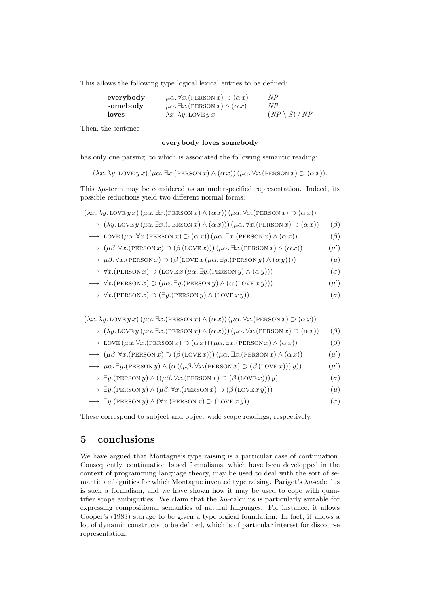This allows the following type logical lexical entries to be defined:

|          | everybody – $\mu \alpha. \forall x.$ (PERSON x) $\supset (\alpha x)$ : | NP                                   |
|----------|------------------------------------------------------------------------|--------------------------------------|
| somebody | $-\mu\alpha.\exists x.$ (PERSON $x) \wedge (\alpha x)$ : NP            |                                      |
| loves    | $- \lambda x. \lambda y.$ LOVE $y x$                                   | $\therefore$ $(NP \setminus S) / NF$ |

Then, the sentence

#### everybody loves somebody

has only one parsing, to which is associated the following semantic reading:

 $(\lambda x. \lambda y. \text{LOVE } y \, x)$   $(\mu \alpha. \exists x. (\text{PERSON } x) \wedge (\alpha x))$   $(\mu \alpha. \forall x. (\text{PERSON } x) \supset (\alpha x)).$ 

This  $\lambda \mu$ -term may be considered as an underspecified representation. Indeed, its possible reductions yield two different normal forms:

 $(\lambda x. \lambda y. \text{LOVE } y \, x)$   $(\mu \alpha. \exists x. (\text{PERSON } x) \wedge (\alpha \, x))$   $(\mu \alpha. \forall x. (\text{PERSON } x) \supset (\alpha \, x))$  $\rightarrow (\lambda y. \text{LOVE } y (\mu \alpha. \exists x. (\text{PERSON } x) \wedge (\alpha x))) (\mu \alpha. \forall x. (\text{PERSON } x) \supset (\alpha x))$  ( $\beta$ )

$$
\longrightarrow \text{LOVE}(\mu\alpha. \forall x. (\text{PERSON } x) \supset (\alpha x))(\mu\alpha. \exists x. (\text{PERSON } x) \land (\alpha x)) \tag{3}
$$

$$
\longrightarrow (\mu \beta. \forall x. (\text{PERSON } x) \supset (\beta (\text{LOVE } x))) (\mu \alpha. \exists x. (\text{PERSON } x) \land (\alpha x)) \tag{ \mu'}
$$

- $\rightarrow \mu\beta.\forall x.(\text{PERSON } x) \supset (\beta (\text{LOVE } x (\mu\alpha.\exists y.(\text{PERSON } y) \wedge (\alpha y))))$  ( $\mu$ )
- $\rightarrow \forall x.$ (PERSON  $x) \supset (\text{LOVE } x (\mu \alpha. \exists y. (\text{PERSON } y) \wedge (\alpha y)))$  (σ)
- $\rightarrow \forall x.$ (PERSON x)  $\supset (\mu \alpha. \exists y.$ (PERSON y)  $\wedge (\alpha (\text{LOVE } x y)))$  $\bigcirc$

$$
\longrightarrow \forall x.(\text{PERSON } x) \supset (\exists y.(\text{PERSON } y) \land (\text{LOVE } x y))
$$
 (σ)

 $(\lambda x. \lambda y. \text{LOVE } y x) (\mu \alpha. \exists x. (\text{PERSON } x) \wedge (\alpha x)) (\mu \alpha. \forall x. (\text{PERSON } x) \supset (\alpha x))$ 

$$
\longrightarrow (\lambda y. \text{LOVE } y (\mu \alpha. \exists x. (\text{PERSON } x) \land (\alpha x))) (\mu \alpha. \forall x. (\text{PERSON } x) \supset (\alpha x)) \tag{3}
$$

 $\longrightarrow$  LOVE  $(\mu \alpha. \forall x.(\text{PERSON } x) \supset (\alpha x)) (\mu \alpha. \exists x.(\text{PERSON } x) \wedge (\alpha x))$  ( $\beta$ )

$$
\longrightarrow (\mu \beta. \forall x. (\text{person } x) \supset (\beta (\text{love } x)))(\mu \alpha. \exists x. (\text{person } x) \land (\alpha x)) \tag{ \mu'}
$$

$$
\longrightarrow \mu \alpha. \exists y. (\text{person } y) \land (\alpha ((\mu \beta. \forall x. (\text{person } x) \supset (\beta (\text{love } x))) y)) \tag{ \mu'}
$$

- $\longrightarrow \exists y.(\text{PERSON } y) \wedge ((\mu \beta. \forall x.(\text{PERSON } x) \supset (\beta (\text{LOVE } x))))$  (σ)
- $\longrightarrow \exists y.$ (PERSON  $y) \wedge (\mu \beta. \forall x.$ (PERSON  $x) \supset (\beta (\text{LOVE } x y)))$  ( $\mu$ )
- $\longrightarrow \exists y.(\text{PERSON } y) \land (\forall x.(\text{PERSON } x) \supset (\text{LOVE } x y))$  (σ)

These correspond to subject and object wide scope readings, respectively.

#### 5 conclusions

We have argued that Montague's type raising is a particular case of continuation. Consequently, continuation based formalisms, which have been developped in the context of programming language theory, may be used to deal with the sort of semantic ambiguities for which Montague invented type raising. Parigot's  $\lambda \mu$ -calculus is such a formalism, and we have shown how it may be used to cope with quantifier scope ambiguities. We claim that the  $\lambda \mu$ -calculus is particularly suitable for expressing compositional semantics of natural languages. For instance, it allows Cooper's (1983) storage to be given a type logical foundation. In fact, it allows a lot of dynamic constructs to be defined, which is of particular interest for discourse representation.